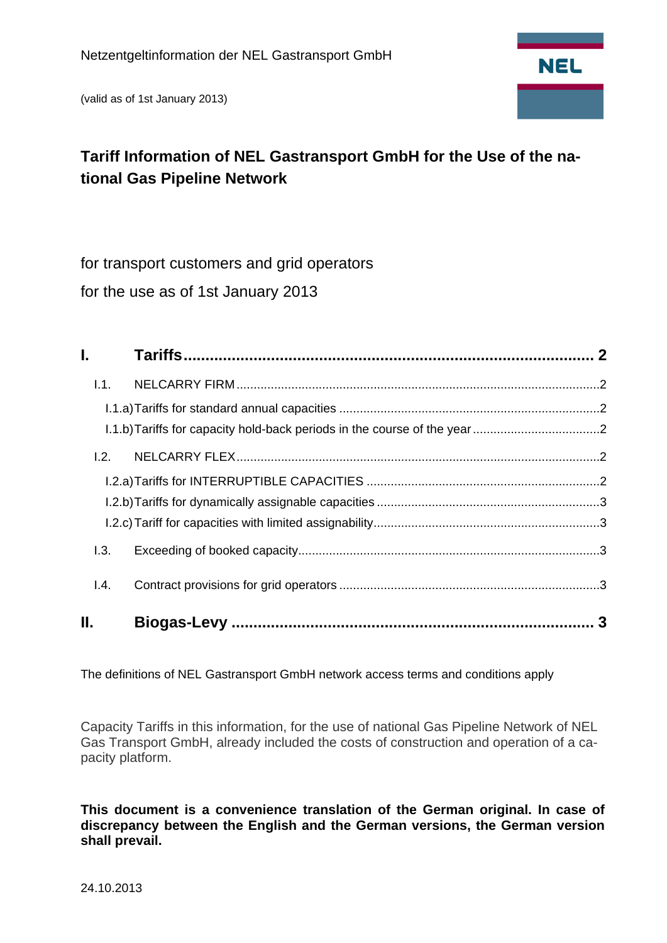(valid as of 1st January 2013)



# **Tariff Information of NEL Gastransport GmbH for the Use of the national Gas Pipeline Network**

for transport customers and grid operators for the use as of 1st January 2013

| I. Contractor |  |
|---------------|--|
| 1.1.          |  |
|               |  |
|               |  |
| 1.2.          |  |
|               |  |
|               |  |
|               |  |
| 1.3.          |  |
| 1.4.          |  |
| Н.            |  |

The definitions of NEL Gastransport GmbH network access terms and conditions apply

Capacity Tariffs in this information, for the use of national Gas Pipeline Network of NEL Gas Transport GmbH, already included the costs of construction and operation of a capacity platform.

**This document is a convenience translation of the German original. In case of discrepancy between the English and the German versions, the German version shall prevail.**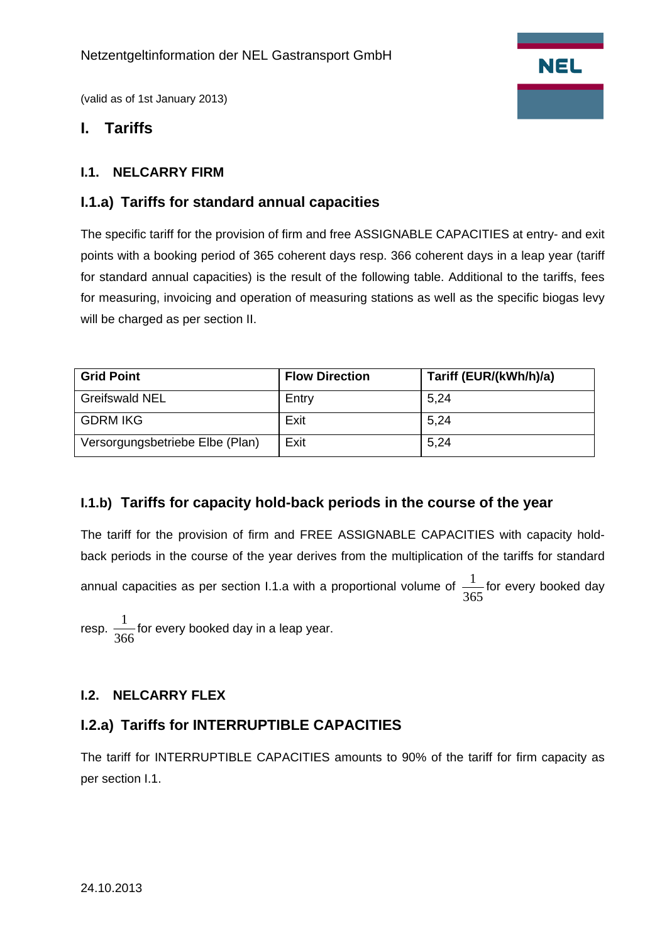

(valid as of 1st January 2013)

## **I. Tariffs**

## **I.1. NELCARRY FIRM**

## **I.1.a) Tariffs for standard annual capacities**

The specific tariff for the provision of firm and free ASSIGNABLE CAPACITIES at entry- and exit points with a booking period of 365 coherent days resp. 366 coherent days in a leap year (tariff for standard annual capacities) is the result of the following table. Additional to the tariffs, fees for measuring, invoicing and operation of measuring stations as well as the specific biogas levy will be charged as per section II.

| <b>Grid Point</b>               | <b>Flow Direction</b> | Tariff (EUR/(kWh/h)/a) |
|---------------------------------|-----------------------|------------------------|
| <b>Greifswald NEL</b>           | Entry                 | 5.24                   |
| <b>GDRM IKG</b>                 | Exit                  | 5,24                   |
| Versorgungsbetriebe Elbe (Plan) | Exit                  | 5,24                   |

#### **I.1.b) Tariffs for capacity hold-back periods in the course of the year**

The tariff for the provision of firm and FREE ASSIGNABLE CAPACITIES with capacity holdback periods in the course of the year derives from the multiplication of the tariffs for standard annual capacities as per section I.1.a with a proportional volume of  $\frac{1}{365}$  for every booked day

resp.  $\frac{1}{366}$  for every booked day in a leap year.

#### **I.2. NELCARRY FLEX**

## **I.2.a) Tariffs for INTERRUPTIBLE CAPACITIES**

The tariff for INTERRUPTIBLE CAPACITIES amounts to 90% of the tariff for firm capacity as per section I.1.